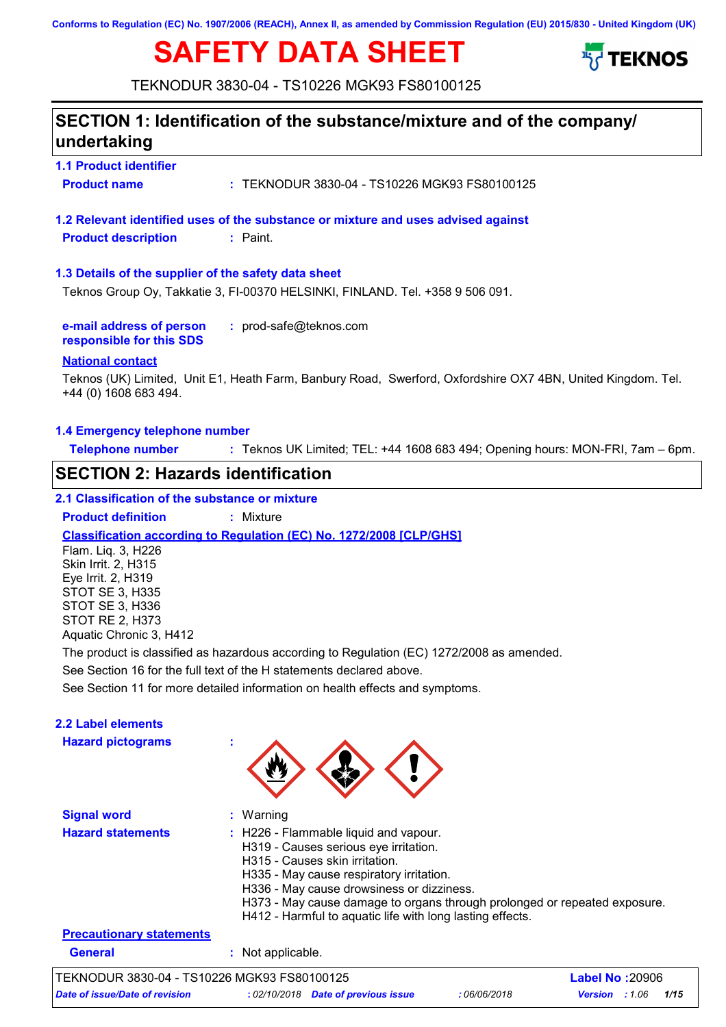**Conforms to Regulation (EC) No. 1907/2006 (REACH), Annex II, as amended by Commission Regulation (EU) 2015/830 - United Kingdom (UK)**

# **SAFETY DATA SHEET**



TEKNODUR 3830-04 - TS10226 MGK93 FS80100125

## **SECTION 1: Identification of the substance/mixture and of the company/ undertaking**

**1.1 Product identifier Product name :** TEKNODUR 3830-04 - TS10226 MGK93 FS80100125

**1.2 Relevant identified uses of the substance or mixture and uses advised against Product description :** Paint.

#### **1.3 Details of the supplier of the safety data sheet**

Teknos Group Oy, Takkatie 3, FI-00370 HELSINKI, FINLAND. Tel. +358 9 506 091.

**e-mail address of person responsible for this SDS :** prod-safe@teknos.com

#### **National contact**

Teknos (UK) Limited, Unit E1, Heath Farm, Banbury Road, Swerford, Oxfordshire OX7 4BN, United Kingdom. Tel. +44 (0) 1608 683 494.

#### **1.4 Emergency telephone number**

**Telephone number :** Teknos UK Limited; TEL: +44 1608 683 494; Opening hours: MON-FRI, 7am – 6pm.

## **SECTION 2: Hazards identification**

## **2.1 Classification of the substance or mixture**

**Product definition :** Mixture

**Classification according to Regulation (EC) No. 1272/2008 [CLP/GHS]**

Flam. Liq. 3, H226 Skin Irrit. 2, H315 Eye Irrit. 2, H319 STOT SE 3, H335 STOT SE 3, H336 STOT RE 2, H373 Aquatic Chronic 3, H412

The product is classified as hazardous according to Regulation (EC) 1272/2008 as amended.

See Section 16 for the full text of the H statements declared above.

See Section 11 for more detailed information on health effects and symptoms.

### **2.2 Label elements**

**Hazard pictograms :**



**Signal word : Hazard statements :**

#### : Warning

: H226 - Flammable liquid and vapour.

- H319 Causes serious eye irritation.
	- H315 Causes skin irritation.
	- H335 May cause respiratory irritation.
	- H336 May cause drowsiness or dizziness.
	- H373 May cause damage to organs through prolonged or repeated exposure.
	- H412 Harmful to aquatic life with long lasting effects.

## **Precautionary statements**

**General :** Not applicable.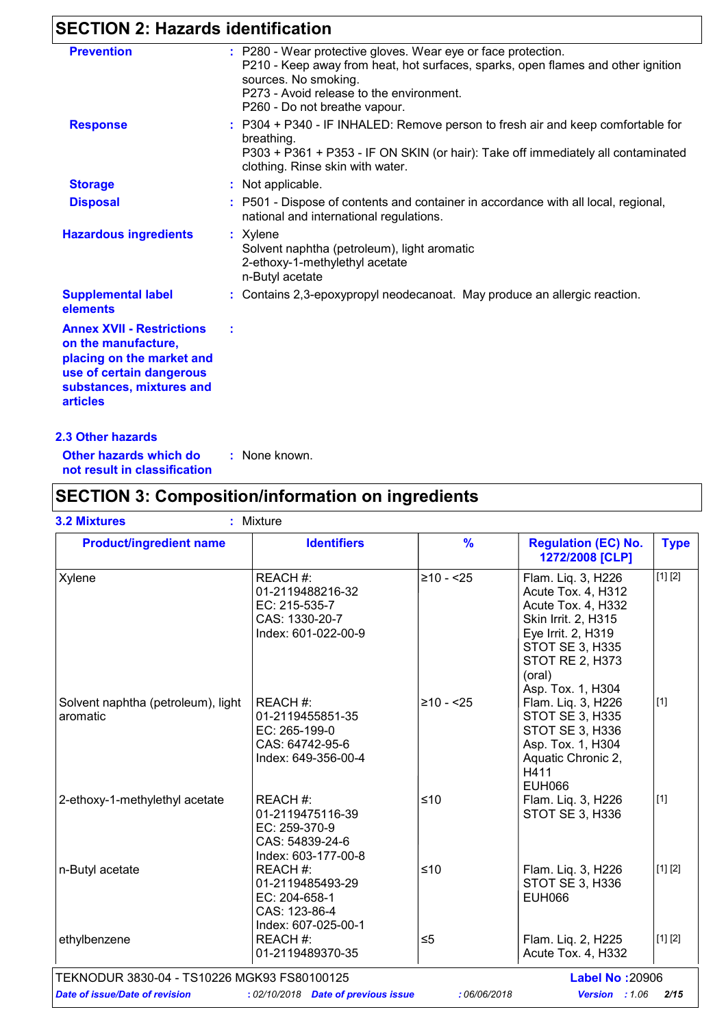## **SECTION 2: Hazards identification**

| <b>Prevention</b>                                                                                                                                               | : P280 - Wear protective gloves. Wear eye or face protection.<br>P210 - Keep away from heat, hot surfaces, sparks, open flames and other ignition<br>sources. No smoking.<br>P273 - Avoid release to the environment.<br>P260 - Do not breathe vapour. |
|-----------------------------------------------------------------------------------------------------------------------------------------------------------------|--------------------------------------------------------------------------------------------------------------------------------------------------------------------------------------------------------------------------------------------------------|
| <b>Response</b>                                                                                                                                                 | : P304 + P340 - IF INHALED: Remove person to fresh air and keep comfortable for<br>breathing.<br>P303 + P361 + P353 - IF ON SKIN (or hair): Take off immediately all contaminated<br>clothing. Rinse skin with water.                                  |
| <b>Storage</b>                                                                                                                                                  | : Not applicable.                                                                                                                                                                                                                                      |
| <b>Disposal</b>                                                                                                                                                 | : P501 - Dispose of contents and container in accordance with all local, regional,<br>national and international regulations.                                                                                                                          |
| <b>Hazardous ingredients</b>                                                                                                                                    | : Xylene<br>Solvent naphtha (petroleum), light aromatic<br>2-ethoxy-1-methylethyl acetate<br>n-Butyl acetate                                                                                                                                           |
| <b>Supplemental label</b><br>elements                                                                                                                           | : Contains 2,3-epoxypropyl neodecanoat. May produce an allergic reaction.                                                                                                                                                                              |
| <b>Annex XVII - Restrictions</b><br>on the manufacture,<br>placing on the market and<br>use of certain dangerous<br>substances, mixtures and<br><b>articles</b> |                                                                                                                                                                                                                                                        |
|                                                                                                                                                                 |                                                                                                                                                                                                                                                        |

## **2.3 Other hazards**

| Other hazards which do       | : None known. |  |
|------------------------------|---------------|--|
| not result in classification |               |  |

## **SECTION 3: Composition/information on ingredients**

| <b>Product/ingredient name</b>                 | <b>Identifiers</b>                                                                      | $\frac{9}{6}$  | <b>Regulation (EC) No.</b><br>1272/2008 [CLP]                                                                                                                                                  | <b>Type</b> |
|------------------------------------------------|-----------------------------------------------------------------------------------------|----------------|------------------------------------------------------------------------------------------------------------------------------------------------------------------------------------------------|-------------|
| Xylene                                         | REACH #:<br>01-2119488216-32<br>EC: 215-535-7<br>CAS: 1330-20-7<br>Index: 601-022-00-9  | $≥10 - 25$     | Flam. Liq. 3, H226<br>Acute Tox. 4, H312<br>Acute Tox. 4, H332<br>Skin Irrit. 2, H315<br>Eye Irrit. 2, H319<br><b>STOT SE 3, H335</b><br><b>STOT RE 2, H373</b><br>(oral)<br>Asp. Tox. 1, H304 | [1] [2]     |
| Solvent naphtha (petroleum), light<br>aromatic | REACH#:<br>01-2119455851-35<br>EC: 265-199-0<br>CAS: 64742-95-6<br>Index: 649-356-00-4  | $\geq 10 - 25$ | Flam. Liq. 3, H226<br><b>STOT SE 3, H335</b><br>STOT SE 3, H336<br>Asp. Tox. 1, H304<br>Aquatic Chronic 2,<br>H411<br><b>EUH066</b>                                                            | $[1]$       |
| 2-ethoxy-1-methylethyl acetate                 | REACH #:<br>01-2119475116-39<br>EC: 259-370-9<br>CAS: 54839-24-6<br>Index: 603-177-00-8 | ≤10            | Flam. Liq. 3, H226<br>STOT SE 3, H336                                                                                                                                                          | $[1]$       |
| n-Butyl acetate                                | REACH #:<br>01-2119485493-29<br>EC: 204-658-1<br>CAS: 123-86-4<br>Index: 607-025-00-1   | $≤10$          | Flam. Liq. 3, H226<br>STOT SE 3, H336<br><b>EUH066</b>                                                                                                                                         | [1] [2]     |
| ethylbenzene                                   | REACH #:<br>01-2119489370-35                                                            | $\leq 5$       | Flam. Lig. 2, H225<br>Acute Tox. 4, H332                                                                                                                                                       | [1] [2]     |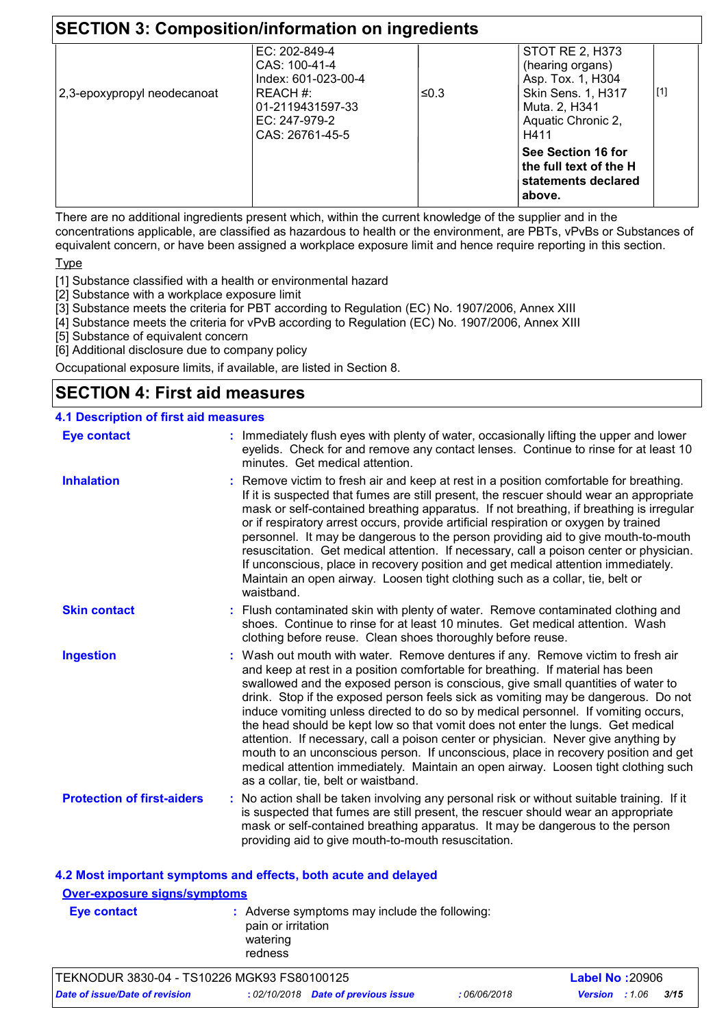| <b>SECTION 3: Composition/information on ingredients</b> |                                                                                                                               |      |                                                                                                                               |       |  |  |
|----------------------------------------------------------|-------------------------------------------------------------------------------------------------------------------------------|------|-------------------------------------------------------------------------------------------------------------------------------|-------|--|--|
| 2,3-epoxypropyl neodecanoat                              | EC: 202-849-4<br>CAS: 100-41-4<br>Index: 601-023-00-4<br>I REACH #:<br>  01-2119431597-33<br>EC: 247-979-2<br>CAS: 26761-45-5 | ≤0.3 | STOT RE 2, H373<br>(hearing organs)<br>Asp. Tox. 1, H304<br>Skin Sens. 1, H317<br>Muta. 2, H341<br>Aquatic Chronic 2,<br>H411 | $[1]$ |  |  |
|                                                          |                                                                                                                               |      | See Section 16 for<br>the full text of the H<br>statements declared<br>above.                                                 |       |  |  |

There are no additional ingredients present which, within the current knowledge of the supplier and in the concentrations applicable, are classified as hazardous to health or the environment, are PBTs, vPvBs or Substances of equivalent concern, or have been assigned a workplace exposure limit and hence require reporting in this section.

**Type** 

[1] Substance classified with a health or environmental hazard

[2] Substance with a workplace exposure limit

[3] Substance meets the criteria for PBT according to Regulation (EC) No. 1907/2006, Annex XIII

[4] Substance meets the criteria for vPvB according to Regulation (EC) No. 1907/2006, Annex XIII

[5] Substance of equivalent concern

[6] Additional disclosure due to company policy

Occupational exposure limits, if available, are listed in Section 8.

## **SECTION 4: First aid measures**

## **4.1 Description of first aid measures**

| <b>Eye contact</b>                | : Immediately flush eyes with plenty of water, occasionally lifting the upper and lower<br>eyelids. Check for and remove any contact lenses. Continue to rinse for at least 10<br>minutes. Get medical attention.                                                                                                                                                                                                                                                                                                                                                                                                                                                                                                                                                                                                             |
|-----------------------------------|-------------------------------------------------------------------------------------------------------------------------------------------------------------------------------------------------------------------------------------------------------------------------------------------------------------------------------------------------------------------------------------------------------------------------------------------------------------------------------------------------------------------------------------------------------------------------------------------------------------------------------------------------------------------------------------------------------------------------------------------------------------------------------------------------------------------------------|
| <b>Inhalation</b>                 | : Remove victim to fresh air and keep at rest in a position comfortable for breathing.<br>If it is suspected that fumes are still present, the rescuer should wear an appropriate<br>mask or self-contained breathing apparatus. If not breathing, if breathing is irregular<br>or if respiratory arrest occurs, provide artificial respiration or oxygen by trained<br>personnel. It may be dangerous to the person providing aid to give mouth-to-mouth<br>resuscitation. Get medical attention. If necessary, call a poison center or physician.<br>If unconscious, place in recovery position and get medical attention immediately.<br>Maintain an open airway. Loosen tight clothing such as a collar, tie, belt or<br>waistband.                                                                                       |
| <b>Skin contact</b>               | : Flush contaminated skin with plenty of water. Remove contaminated clothing and<br>shoes. Continue to rinse for at least 10 minutes. Get medical attention. Wash<br>clothing before reuse. Clean shoes thoroughly before reuse.                                                                                                                                                                                                                                                                                                                                                                                                                                                                                                                                                                                              |
| <b>Ingestion</b>                  | : Wash out mouth with water. Remove dentures if any. Remove victim to fresh air<br>and keep at rest in a position comfortable for breathing. If material has been<br>swallowed and the exposed person is conscious, give small quantities of water to<br>drink. Stop if the exposed person feels sick as vomiting may be dangerous. Do not<br>induce vomiting unless directed to do so by medical personnel. If vomiting occurs,<br>the head should be kept low so that vomit does not enter the lungs. Get medical<br>attention. If necessary, call a poison center or physician. Never give anything by<br>mouth to an unconscious person. If unconscious, place in recovery position and get<br>medical attention immediately. Maintain an open airway. Loosen tight clothing such<br>as a collar, tie, belt or waistband. |
| <b>Protection of first-aiders</b> | : No action shall be taken involving any personal risk or without suitable training. If it<br>is suspected that fumes are still present, the rescuer should wear an appropriate<br>mask or self-contained breathing apparatus. It may be dangerous to the person<br>providing aid to give mouth-to-mouth resuscitation.                                                                                                                                                                                                                                                                                                                                                                                                                                                                                                       |

### **4.2 Most important symptoms and effects, both acute and delayed**

| <b>Over-exposure signs/symptoms</b> |                                                                                            |  |
|-------------------------------------|--------------------------------------------------------------------------------------------|--|
| Eye contact                         | : Adverse symptoms may include the following:<br>pain or irritation<br>watering<br>redness |  |
|                                     |                                                                                            |  |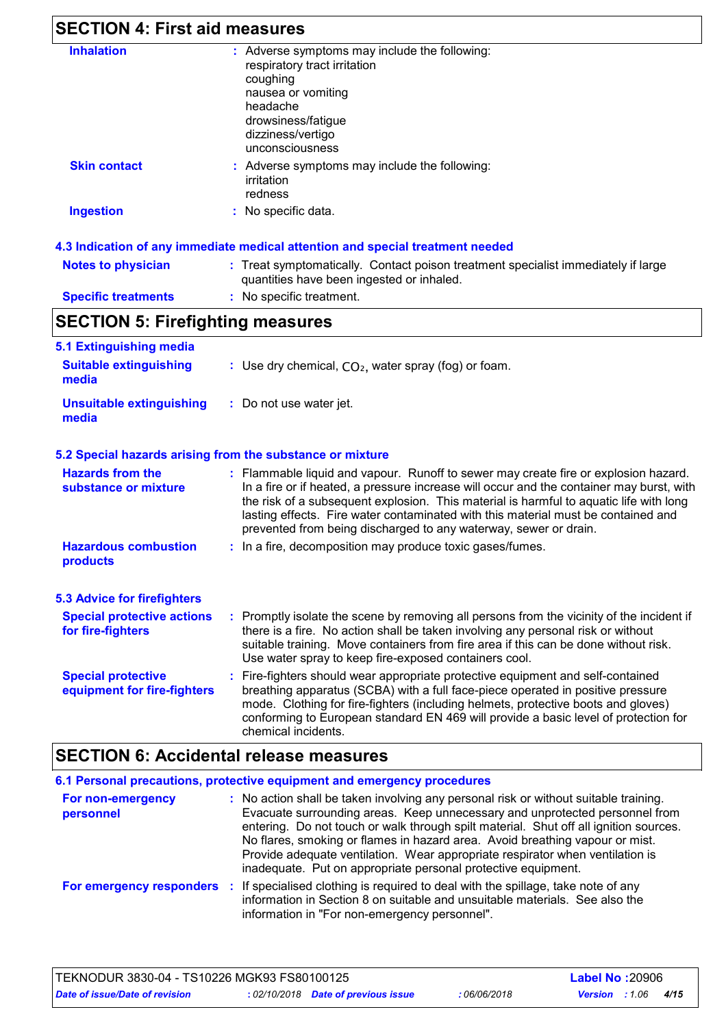| <b>SECTION 4: First aid measures</b>                     |                                                                                                                                                                                                                                                                                                                                                                                                                                    |
|----------------------------------------------------------|------------------------------------------------------------------------------------------------------------------------------------------------------------------------------------------------------------------------------------------------------------------------------------------------------------------------------------------------------------------------------------------------------------------------------------|
| <b>Inhalation</b>                                        | : Adverse symptoms may include the following:<br>respiratory tract irritation<br>coughing<br>nausea or vomiting<br>headache<br>drowsiness/fatigue<br>dizziness/vertigo<br>unconsciousness                                                                                                                                                                                                                                          |
| <b>Skin contact</b>                                      | Adverse symptoms may include the following:<br>irritation<br>redness                                                                                                                                                                                                                                                                                                                                                               |
| <b>Ingestion</b>                                         | : No specific data.                                                                                                                                                                                                                                                                                                                                                                                                                |
|                                                          | 4.3 Indication of any immediate medical attention and special treatment needed                                                                                                                                                                                                                                                                                                                                                     |
| <b>Notes to physician</b>                                | : Treat symptomatically. Contact poison treatment specialist immediately if large<br>quantities have been ingested or inhaled.                                                                                                                                                                                                                                                                                                     |
| <b>Specific treatments</b>                               | : No specific treatment.                                                                                                                                                                                                                                                                                                                                                                                                           |
| <b>SECTION 5: Firefighting measures</b>                  |                                                                                                                                                                                                                                                                                                                                                                                                                                    |
| 5.1 Extinguishing media                                  |                                                                                                                                                                                                                                                                                                                                                                                                                                    |
| <b>Suitable extinguishing</b><br>media                   | : Use dry chemical, $CO2$ , water spray (fog) or foam.                                                                                                                                                                                                                                                                                                                                                                             |
| <b>Unsuitable extinguishing</b><br>media                 | : Do not use water jet.                                                                                                                                                                                                                                                                                                                                                                                                            |
|                                                          | 5.2 Special hazards arising from the substance or mixture                                                                                                                                                                                                                                                                                                                                                                          |
| <b>Hazards from the</b><br>substance or mixture          | : Flammable liquid and vapour. Runoff to sewer may create fire or explosion hazard.<br>In a fire or if heated, a pressure increase will occur and the container may burst, with<br>the risk of a subsequent explosion. This material is harmful to aquatic life with long<br>lasting effects. Fire water contaminated with this material must be contained and<br>prevented from being discharged to any waterway, sewer or drain. |
| <b>Hazardous combustion</b><br>products                  | : In a fire, decomposition may produce toxic gases/fumes.                                                                                                                                                                                                                                                                                                                                                                          |
| <b>5.3 Advice for firefighters</b>                       |                                                                                                                                                                                                                                                                                                                                                                                                                                    |
| <b>Special protective actions</b><br>for fire-fighters   | : Promptly isolate the scene by removing all persons from the vicinity of the incident if<br>there is a fire. No action shall be taken involving any personal risk or without<br>suitable training. Move containers from fire area if this can be done without risk.<br>Use water spray to keep fire-exposed containers cool.                                                                                                      |
| <b>Special protective</b><br>equipment for fire-fighters | Fire-fighters should wear appropriate protective equipment and self-contained<br>breathing apparatus (SCBA) with a full face-piece operated in positive pressure<br>mode. Clothing for fire-fighters (including helmets, protective boots and gloves)<br>conforming to European standard EN 469 will provide a basic level of protection for<br>chemical incidents.                                                                |

## **SECTION 6: Accidental release measures**

|                                 | 6.1 Personal precautions, protective equipment and emergency procedures                                                                                                                                                                                                                                                                                                                                                                                                                        |
|---------------------------------|------------------------------------------------------------------------------------------------------------------------------------------------------------------------------------------------------------------------------------------------------------------------------------------------------------------------------------------------------------------------------------------------------------------------------------------------------------------------------------------------|
| For non-emergency<br>personnel  | : No action shall be taken involving any personal risk or without suitable training.<br>Evacuate surrounding areas. Keep unnecessary and unprotected personnel from<br>entering. Do not touch or walk through spilt material. Shut off all ignition sources.<br>No flares, smoking or flames in hazard area. Avoid breathing vapour or mist.<br>Provide adequate ventilation. Wear appropriate respirator when ventilation is<br>inadequate. Put on appropriate personal protective equipment. |
| For emergency responders<br>-11 | If specialised clothing is required to deal with the spillage, take note of any<br>information in Section 8 on suitable and unsuitable materials. See also the<br>information in "For non-emergency personnel".                                                                                                                                                                                                                                                                                |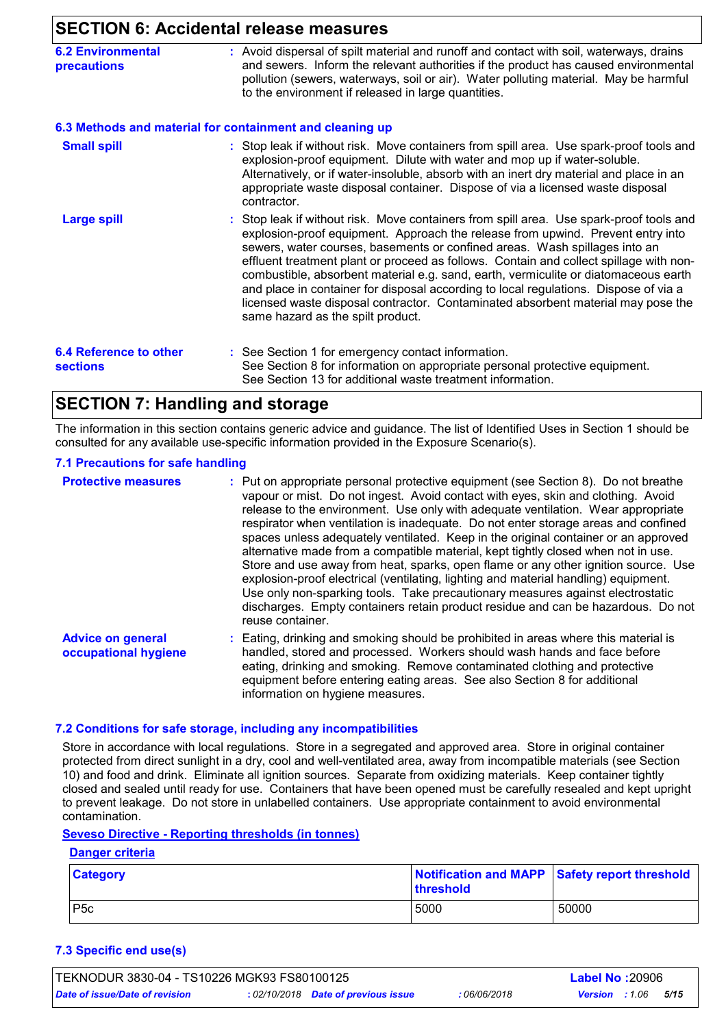## **SECTION 6: Accidental release mea**

|                                           | <u>ULUTIVIN U. AUULUUTILAI TUURASU IIIUASULUS</u>                                                                                                                                                                                                                                                                                                                                                                                                                                                                                                                                                                                                          |
|-------------------------------------------|------------------------------------------------------------------------------------------------------------------------------------------------------------------------------------------------------------------------------------------------------------------------------------------------------------------------------------------------------------------------------------------------------------------------------------------------------------------------------------------------------------------------------------------------------------------------------------------------------------------------------------------------------------|
| <b>6.2 Environmental</b><br>precautions   | : Avoid dispersal of spilt material and runoff and contact with soil, waterways, drains<br>and sewers. Inform the relevant authorities if the product has caused environmental<br>pollution (sewers, waterways, soil or air). Water polluting material. May be harmful<br>to the environment if released in large quantities.                                                                                                                                                                                                                                                                                                                              |
|                                           | 6.3 Methods and material for containment and cleaning up                                                                                                                                                                                                                                                                                                                                                                                                                                                                                                                                                                                                   |
| <b>Small spill</b>                        | : Stop leak if without risk. Move containers from spill area. Use spark-proof tools and<br>explosion-proof equipment. Dilute with water and mop up if water-soluble.<br>Alternatively, or if water-insoluble, absorb with an inert dry material and place in an<br>appropriate waste disposal container. Dispose of via a licensed waste disposal<br>contractor.                                                                                                                                                                                                                                                                                           |
| <b>Large spill</b>                        | : Stop leak if without risk. Move containers from spill area. Use spark-proof tools and<br>explosion-proof equipment. Approach the release from upwind. Prevent entry into<br>sewers, water courses, basements or confined areas. Wash spillages into an<br>effluent treatment plant or proceed as follows. Contain and collect spillage with non-<br>combustible, absorbent material e.g. sand, earth, vermiculite or diatomaceous earth<br>and place in container for disposal according to local regulations. Dispose of via a<br>licensed waste disposal contractor. Contaminated absorbent material may pose the<br>same hazard as the spilt product. |
| 6.4 Reference to other<br><b>sections</b> | : See Section 1 for emergency contact information.<br>See Section 8 for information on appropriate personal protective equipment.<br>See Section 13 for additional waste treatment information.                                                                                                                                                                                                                                                                                                                                                                                                                                                            |

## **SECTION 7: Handling and storage**

The information in this section contains generic advice and guidance. The list of Identified Uses in Section 1 should be consulted for any available use-specific information provided in the Exposure Scenario(s).

#### **7.1 Precautions for safe handling**

| <b>Protective measures</b>                       | : Put on appropriate personal protective equipment (see Section 8). Do not breathe<br>vapour or mist. Do not ingest. Avoid contact with eyes, skin and clothing. Avoid<br>release to the environment. Use only with adequate ventilation. Wear appropriate<br>respirator when ventilation is inadequate. Do not enter storage areas and confined<br>spaces unless adequately ventilated. Keep in the original container or an approved<br>alternative made from a compatible material, kept tightly closed when not in use.<br>Store and use away from heat, sparks, open flame or any other ignition source. Use<br>explosion-proof electrical (ventilating, lighting and material handling) equipment.<br>Use only non-sparking tools. Take precautionary measures against electrostatic<br>discharges. Empty containers retain product residue and can be hazardous. Do not<br>reuse container. |
|--------------------------------------------------|----------------------------------------------------------------------------------------------------------------------------------------------------------------------------------------------------------------------------------------------------------------------------------------------------------------------------------------------------------------------------------------------------------------------------------------------------------------------------------------------------------------------------------------------------------------------------------------------------------------------------------------------------------------------------------------------------------------------------------------------------------------------------------------------------------------------------------------------------------------------------------------------------|
| <b>Advice on general</b><br>occupational hygiene | : Eating, drinking and smoking should be prohibited in areas where this material is<br>handled, stored and processed. Workers should wash hands and face before<br>eating, drinking and smoking. Remove contaminated clothing and protective<br>equipment before entering eating areas. See also Section 8 for additional<br>information on hygiene measures.                                                                                                                                                                                                                                                                                                                                                                                                                                                                                                                                      |

### **7.2 Conditions for safe storage, including any incompatibilities**

Store in accordance with local regulations. Store in a segregated and approved area. Store in original container protected from direct sunlight in a dry, cool and well-ventilated area, away from incompatible materials (see Section 10) and food and drink. Eliminate all ignition sources. Separate from oxidizing materials. Keep container tightly closed and sealed until ready for use. Containers that have been opened must be carefully resealed and kept upright to prevent leakage. Do not store in unlabelled containers. Use appropriate containment to avoid environmental contamination.

### **Seveso Directive - Reporting thresholds (in tonnes)**

**Danger criteria**

| <b>Category</b> | <b>threshold</b> | Notification and MAPP Safety report threshold |
|-----------------|------------------|-----------------------------------------------|
| P5c             | 5000             | 50000                                         |

#### **7.3 Specific end use(s)**

| TEKNODUR 3830-04 - TS10226 MGK93 FS80100125 |  |                                     |              | <b>Label No: 20906</b> |  |      |  |
|---------------------------------------------|--|-------------------------------------|--------------|------------------------|--|------|--|
| Date of issue/Date of revision              |  | : 02/10/2018 Date of previous issue | : 06/06/2018 | <b>Version</b> : 1.06  |  | 5/15 |  |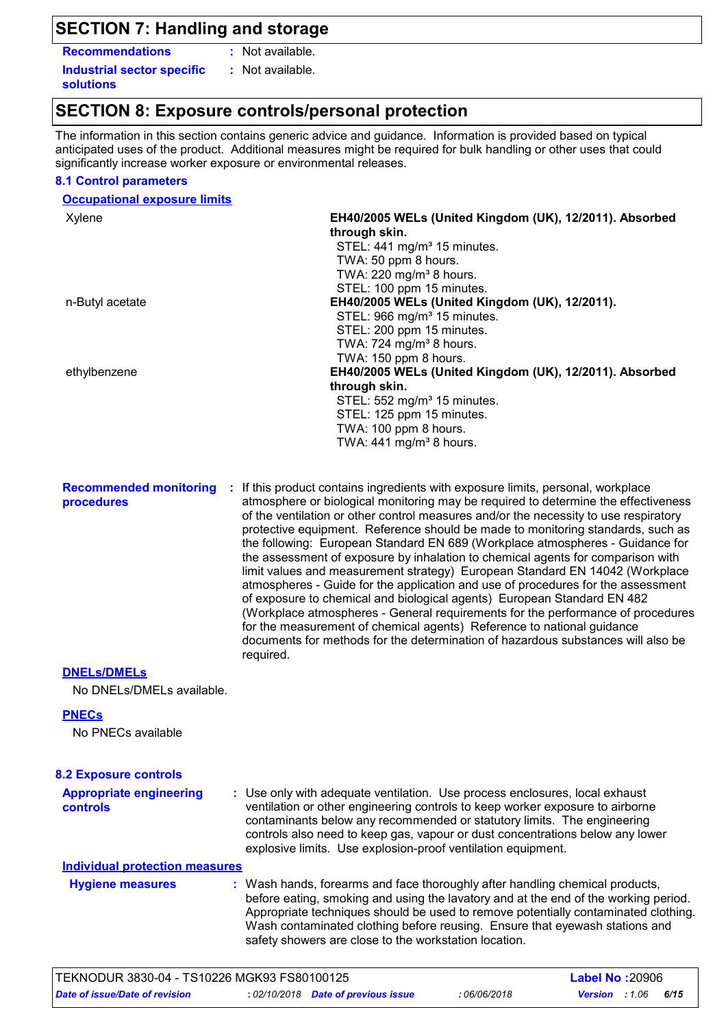## **SECTION 7: Handling and storage**

**Recommendations : Industrial sector specific : solutions**

: Not available. : Not available.

## **SECTION 8: Exposure controls/personal protection**

The information in this section contains generic advice and guidance. Information is provided based on typical anticipated uses of the product. Additional measures might be required for bulk handling or other uses that could significantly increase worker exposure or environmental releases.

### **8.1 Control parameters**

| <b>Occupational exposure limits</b>   |                                                                                                                                                                         |
|---------------------------------------|-------------------------------------------------------------------------------------------------------------------------------------------------------------------------|
| Xylene                                | EH40/2005 WELs (United Kingdom (UK), 12/2011). Absorbed                                                                                                                 |
|                                       | through skin.                                                                                                                                                           |
|                                       | STEL: 441 mg/m <sup>3</sup> 15 minutes.                                                                                                                                 |
|                                       | TWA: 50 ppm 8 hours.<br>TWA: 220 mg/m <sup>3</sup> 8 hours.                                                                                                             |
|                                       | STEL: 100 ppm 15 minutes.                                                                                                                                               |
| n-Butyl acetate                       | EH40/2005 WELs (United Kingdom (UK), 12/2011).                                                                                                                          |
|                                       | STEL: 966 mg/m <sup>3</sup> 15 minutes.                                                                                                                                 |
|                                       | STEL: 200 ppm 15 minutes.                                                                                                                                               |
|                                       | TWA: 724 mg/m <sup>3</sup> 8 hours.                                                                                                                                     |
|                                       | TWA: 150 ppm 8 hours.                                                                                                                                                   |
| ethylbenzene                          | EH40/2005 WELs (United Kingdom (UK), 12/2011). Absorbed                                                                                                                 |
|                                       | through skin.                                                                                                                                                           |
|                                       | STEL: 552 mg/m <sup>3</sup> 15 minutes.                                                                                                                                 |
|                                       | STEL: 125 ppm 15 minutes.                                                                                                                                               |
|                                       | TWA: 100 ppm 8 hours.<br>TWA: $441$ mg/m <sup>3</sup> 8 hours.                                                                                                          |
|                                       |                                                                                                                                                                         |
|                                       |                                                                                                                                                                         |
| <b>Recommended monitoring</b>         | : If this product contains ingredients with exposure limits, personal, workplace                                                                                        |
| procedures                            | atmosphere or biological monitoring may be required to determine the effectiveness                                                                                      |
|                                       | of the ventilation or other control measures and/or the necessity to use respiratory<br>protective equipment. Reference should be made to monitoring standards, such as |
|                                       | the following: European Standard EN 689 (Workplace atmospheres - Guidance for                                                                                           |
|                                       | the assessment of exposure by inhalation to chemical agents for comparison with                                                                                         |
|                                       | limit values and measurement strategy) European Standard EN 14042 (Workplace                                                                                            |
|                                       | atmospheres - Guide for the application and use of procedures for the assessment                                                                                        |
|                                       | of exposure to chemical and biological agents) European Standard EN 482                                                                                                 |
|                                       | (Workplace atmospheres - General requirements for the performance of procedures                                                                                         |
|                                       | for the measurement of chemical agents) Reference to national guidance                                                                                                  |
|                                       | documents for methods for the determination of hazardous substances will also be                                                                                        |
|                                       | required.                                                                                                                                                               |
| <b>DNELs/DMELS</b>                    |                                                                                                                                                                         |
| No DNELs/DMELs available.             |                                                                                                                                                                         |
| <b>PNECs</b>                          |                                                                                                                                                                         |
| No PNECs available                    |                                                                                                                                                                         |
|                                       |                                                                                                                                                                         |
| <b>8.2 Exposure controls</b>          |                                                                                                                                                                         |
| <b>Appropriate engineering</b>        | : Use only with adequate ventilation. Use process enclosures, local exhaust                                                                                             |
| <b>controls</b>                       | ventilation or other engineering controls to keep worker exposure to airborne<br>contaminants below any recommended or statutory limits. The engineering                |
|                                       | controls also need to keep gas, vapour or dust concentrations below any lower                                                                                           |
|                                       | explosive limits. Use explosion-proof ventilation equipment.                                                                                                            |
| <b>Individual protection measures</b> |                                                                                                                                                                         |
| <b>Hygiene measures</b>               | : Wash hands, forearms and face thoroughly after handling chemical products,                                                                                            |
|                                       | before eating, smoking and using the lavatory and at the end of the working period.                                                                                     |
|                                       | Appropriate techniques should be used to remove potentially contaminated clothing.                                                                                      |
|                                       | Wash contaminated clothing before reusing. Ensure that eyewash stations and                                                                                             |
|                                       | safety showers are close to the workstation location.                                                                                                                   |

| TEKNODUR 3830-04 - TS10226 MGK93 FS80100125 |  |                                     |              | <b>Label No: 20906</b> |  |      |  |
|---------------------------------------------|--|-------------------------------------|--------------|------------------------|--|------|--|
| Date of issue/Date of revision              |  | : 02/10/2018 Date of previous issue | : 06/06/2018 | <b>Version</b> : 1.06  |  | 6/15 |  |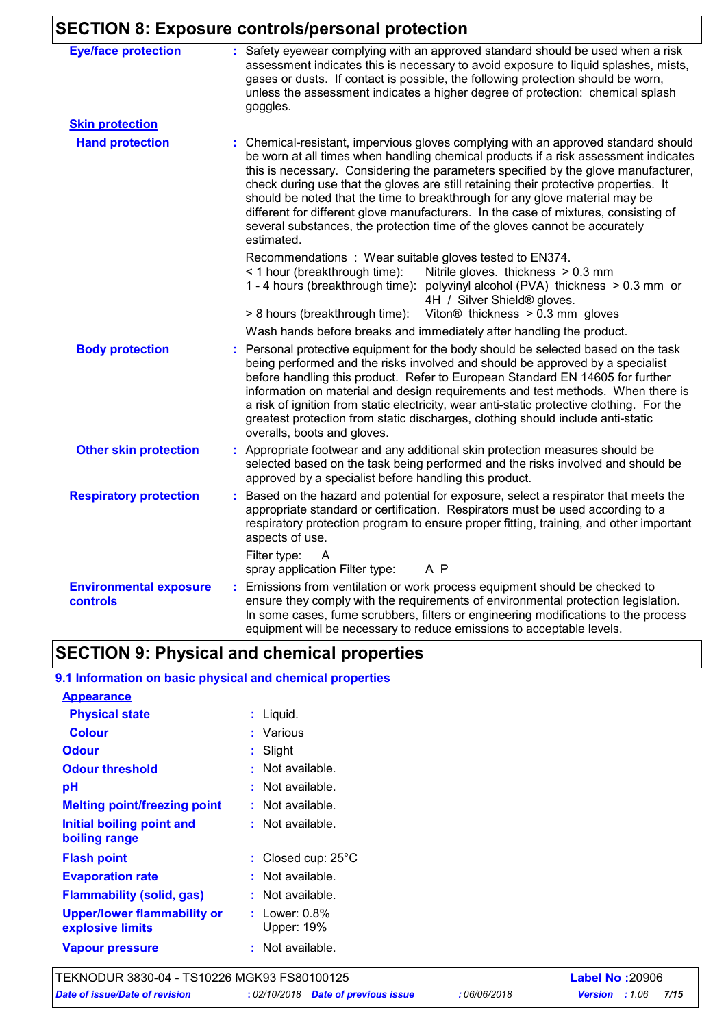## **SECTION 8: Exposure controls/personal protection**

| <b>Eye/face protection</b>                       | : Safety eyewear complying with an approved standard should be used when a risk<br>assessment indicates this is necessary to avoid exposure to liquid splashes, mists,<br>gases or dusts. If contact is possible, the following protection should be worn,<br>unless the assessment indicates a higher degree of protection: chemical splash<br>goggles.                                                                                                                                                                                                                                                                    |
|--------------------------------------------------|-----------------------------------------------------------------------------------------------------------------------------------------------------------------------------------------------------------------------------------------------------------------------------------------------------------------------------------------------------------------------------------------------------------------------------------------------------------------------------------------------------------------------------------------------------------------------------------------------------------------------------|
| <b>Skin protection</b>                           |                                                                                                                                                                                                                                                                                                                                                                                                                                                                                                                                                                                                                             |
| <b>Hand protection</b>                           | : Chemical-resistant, impervious gloves complying with an approved standard should<br>be worn at all times when handling chemical products if a risk assessment indicates<br>this is necessary. Considering the parameters specified by the glove manufacturer,<br>check during use that the gloves are still retaining their protective properties. It<br>should be noted that the time to breakthrough for any glove material may be<br>different for different glove manufacturers. In the case of mixtures, consisting of<br>several substances, the protection time of the gloves cannot be accurately<br>estimated.   |
|                                                  | Recommendations : Wear suitable gloves tested to EN374.<br>< 1 hour (breakthrough time):<br>Nitrile gloves. thickness > 0.3 mm<br>1 - 4 hours (breakthrough time): polyvinyl alcohol (PVA) thickness > 0.3 mm or<br>4H / Silver Shield® gloves.<br>> 8 hours (breakthrough time): Viton® thickness > 0.3 mm gloves                                                                                                                                                                                                                                                                                                          |
|                                                  |                                                                                                                                                                                                                                                                                                                                                                                                                                                                                                                                                                                                                             |
| <b>Body protection</b>                           | Wash hands before breaks and immediately after handling the product.<br>Personal protective equipment for the body should be selected based on the task<br>being performed and the risks involved and should be approved by a specialist<br>before handling this product. Refer to European Standard EN 14605 for further<br>information on material and design requirements and test methods. When there is<br>a risk of ignition from static electricity, wear anti-static protective clothing. For the<br>greatest protection from static discharges, clothing should include anti-static<br>overalls, boots and gloves. |
| <b>Other skin protection</b>                     | : Appropriate footwear and any additional skin protection measures should be<br>selected based on the task being performed and the risks involved and should be<br>approved by a specialist before handling this product.                                                                                                                                                                                                                                                                                                                                                                                                   |
| <b>Respiratory protection</b>                    | : Based on the hazard and potential for exposure, select a respirator that meets the<br>appropriate standard or certification. Respirators must be used according to a<br>respiratory protection program to ensure proper fitting, training, and other important<br>aspects of use.<br>Filter type:<br>A                                                                                                                                                                                                                                                                                                                    |
|                                                  | A P<br>spray application Filter type:                                                                                                                                                                                                                                                                                                                                                                                                                                                                                                                                                                                       |
| <b>Environmental exposure</b><br><b>controls</b> | Emissions from ventilation or work process equipment should be checked to<br>ensure they comply with the requirements of environmental protection legislation.<br>In some cases, fume scrubbers, filters or engineering modifications to the process<br>equipment will be necessary to reduce emissions to acceptable levels.                                                                                                                                                                                                                                                                                               |

## **SECTION 9: Physical and chemical properties**

## **9.1 Information on basic physical and chemical properties**

| <b>Appearance</b>                   |                            |
|-------------------------------------|----------------------------|
| <b>Physical state</b>               | Liquid.                    |
| <b>Colour</b>                       | Various                    |
| <b>Odour</b>                        | Slight                     |
| <b>Odour threshold</b>              | Not available.             |
| рH                                  | Not available.             |
| <b>Melting point/freezing point</b> | Not available.             |
| Initial boiling point and           | : Not available.           |
| boiling range                       |                            |
| <b>Flash point</b>                  | Closed cup: $25^{\circ}$ C |
| <b>Evaporation rate</b>             | Not available.             |
| <b>Flammability (solid, gas)</b>    | : Not available.           |
| <b>Upper/lower flammability or</b>  | Lower: $0.8\%$             |
| explosive limits                    | <b>Upper: 19%</b>          |
| <b>Vapour pressure</b>              | Not available.             |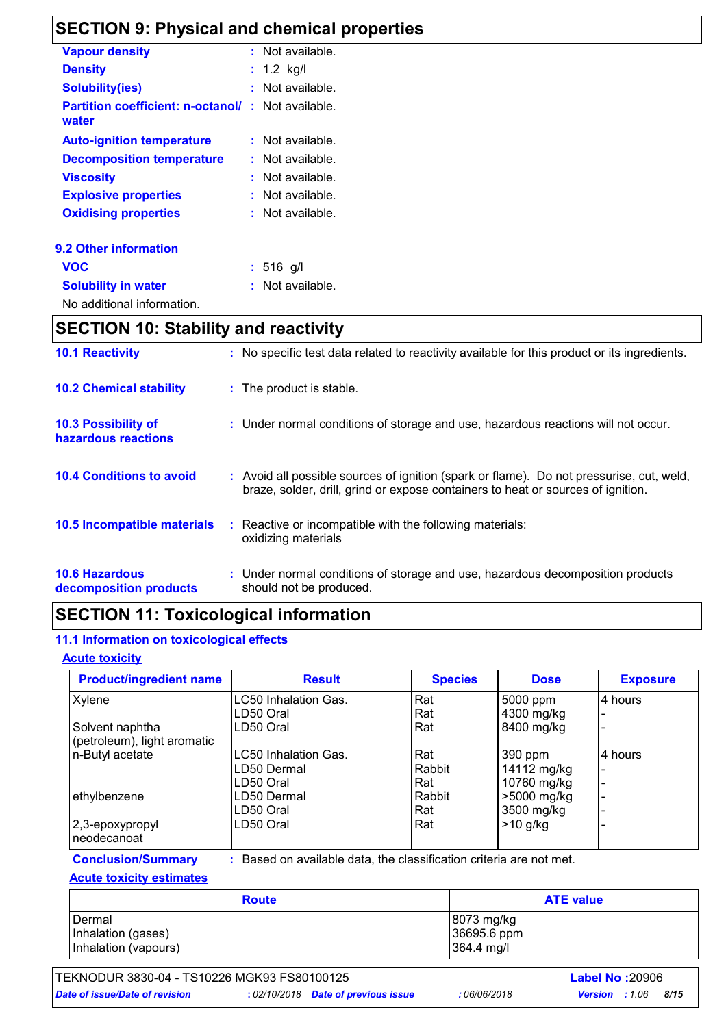## **SECTION 9: Physical and chemical properties**

| <b>Vapour density</b>                             | : Not available. |
|---------------------------------------------------|------------------|
| <b>Density</b>                                    | : $1.2$ kg/l     |
| <b>Solubility(ies)</b>                            | Not available.   |
| <b>Partition coefficient: n-octanol/</b><br>water | : Not available. |
| <b>Auto-ignition temperature</b>                  | : Not available. |
| <b>Decomposition temperature</b>                  | Not available.   |
| <b>Viscosity</b>                                  | : Not available. |
| <b>Explosive properties</b>                       | Not available.   |
| <b>Oxidising properties</b>                       | : Not available. |
| <b>9.2 Other information</b>                      |                  |
| <b>VOC</b>                                        | $: 516$ g/l      |
| <b>Solubility in water</b>                        | Not available.   |
| No additional information.                        |                  |

## **SECTION 10: Stability and reactivity**

| <b>10.1 Reactivity</b>                          | : No specific test data related to reactivity available for this product or its ingredients.                                                                                 |
|-------------------------------------------------|------------------------------------------------------------------------------------------------------------------------------------------------------------------------------|
| <b>10.2 Chemical stability</b>                  | : The product is stable.                                                                                                                                                     |
| 10.3 Possibility of<br>hazardous reactions      | : Under normal conditions of storage and use, hazardous reactions will not occur.                                                                                            |
| <b>10.4 Conditions to avoid</b>                 | : Avoid all possible sources of ignition (spark or flame). Do not pressurise, cut, weld,<br>braze, solder, drill, grind or expose containers to heat or sources of ignition. |
| 10.5 Incompatible materials                     | : Reactive or incompatible with the following materials:<br>oxidizing materials                                                                                              |
| <b>10.6 Hazardous</b><br>decomposition products | : Under normal conditions of storage and use, hazardous decomposition products<br>should not be produced.                                                                    |

## **SECTION 11: Toxicological information**

### **11.1 Information on toxicological effects**

### **Acute toxicity**

| <b>Product/ingredient name</b> | <b>Result</b>        | <b>Species</b> | <b>Dose</b> | <b>Exposure</b>          |
|--------------------------------|----------------------|----------------|-------------|--------------------------|
| Xylene                         | LC50 Inhalation Gas. | Rat            | 5000 ppm    | 4 hours                  |
|                                | LD50 Oral            | Rat            | 4300 mg/kg  |                          |
| Solvent naphtha                | LD50 Oral            | Rat            | 8400 mg/kg  |                          |
| (petroleum), light aromatic    |                      |                |             |                          |
| n-Butyl acetate                | LC50 Inhalation Gas. | Rat            | 390 ppm     | 4 hours                  |
|                                | LD50 Dermal          | Rabbit         | 14112 mg/kg |                          |
|                                | LD50 Oral            | Rat            | 10760 mg/kg |                          |
| ethylbenzene                   | LD50 Dermal          | Rabbit         | >5000 mg/kg |                          |
|                                | LD50 Oral            | Rat            | 3500 mg/kg  | $\overline{\phantom{0}}$ |
| 2,3-epoxypropyl                | LD50 Oral            | Rat            | $>10$ g/kg  |                          |
| neodecanoat                    |                      |                |             |                          |

## **Acute toxicity estimates**

| <b>Route</b>         | <b>ATE value</b> |
|----------------------|------------------|
| Dermal               | 8073 mg/kg       |
| Inhalation (gases)   | 36695.6 ppm      |
| Inhalation (vapours) | 364.4 mg/l       |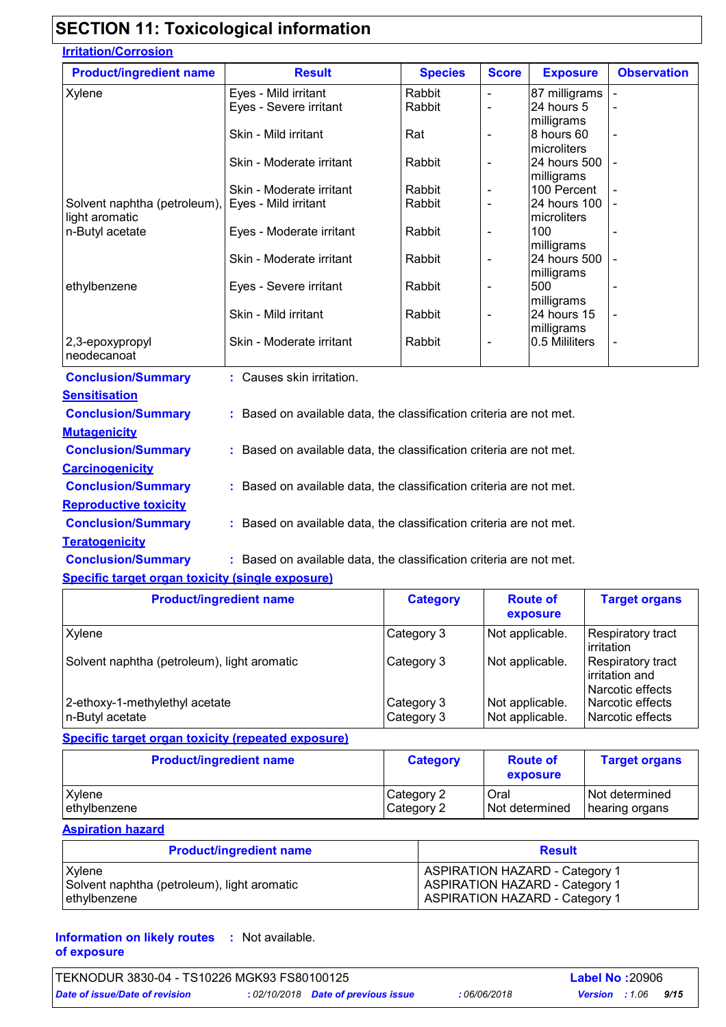## **SECTION 11: Toxicological information**

| <b>Irritation/Corrosion</b> |
|-----------------------------|
|-----------------------------|

| <b>Product/ingredient name</b>    | <b>Result</b>                                                       | <b>Species</b> | <b>Score</b>             | <b>Exposure</b>           | <b>Observation</b>       |
|-----------------------------------|---------------------------------------------------------------------|----------------|--------------------------|---------------------------|--------------------------|
| Xylene                            | Eyes - Mild irritant                                                | Rabbit         | $\overline{\phantom{0}}$ | 87 milligrams             |                          |
|                                   | Eyes - Severe irritant                                              | Rabbit         | $\blacksquare$           | 24 hours 5                | $\blacksquare$           |
|                                   |                                                                     |                |                          | milligrams                |                          |
|                                   | Skin - Mild irritant                                                | Rat            | $\overline{\phantom{0}}$ | 8 hours 60<br>microliters | $\overline{\phantom{0}}$ |
|                                   | Skin - Moderate irritant                                            | Rabbit         | $\blacksquare$           | 24 hours 500              |                          |
|                                   |                                                                     |                |                          | milligrams                |                          |
|                                   | Skin - Moderate irritant                                            | Rabbit         | $\overline{\phantom{a}}$ | 100 Percent               |                          |
| Solvent naphtha (petroleum),      | Eyes - Mild irritant                                                | Rabbit         | $\blacksquare$           | 24 hours 100              |                          |
| light aromatic<br>n-Butyl acetate | Eyes - Moderate irritant                                            | Rabbit         | $\overline{\phantom{a}}$ | microliters<br>100        |                          |
|                                   |                                                                     |                |                          | milligrams                |                          |
|                                   | Skin - Moderate irritant                                            | Rabbit         | $\blacksquare$           | 24 hours 500              |                          |
|                                   |                                                                     |                |                          | milligrams                |                          |
| ethylbenzene                      | Eyes - Severe irritant                                              | Rabbit         | $\overline{\phantom{a}}$ | 500                       | $\overline{\phantom{0}}$ |
|                                   |                                                                     |                |                          | milligrams                |                          |
|                                   | Skin - Mild irritant                                                | Rabbit         | $\overline{\phantom{a}}$ | 24 hours 15<br>milligrams | $\overline{\phantom{0}}$ |
| 2,3-epoxypropyl                   | Skin - Moderate irritant                                            | Rabbit         | $\overline{\phantom{0}}$ | 0.5 Mililiters            |                          |
| neodecanoat                       |                                                                     |                |                          |                           |                          |
| <b>Conclusion/Summary</b>         | : Causes skin irritation.                                           |                |                          |                           |                          |
| <b>Sensitisation</b>              |                                                                     |                |                          |                           |                          |
| <b>Conclusion/Summary</b>         | : Based on available data, the classification criteria are not met. |                |                          |                           |                          |
| <b>Mutagenicity</b>               |                                                                     |                |                          |                           |                          |
| <b>Conclusion/Summary</b>         | : Based on available data, the classification criteria are not met. |                |                          |                           |                          |
| <b>Carcinogenicity</b>            |                                                                     |                |                          |                           |                          |
| <b>Conclusion/Summary</b>         | : Based on available data, the classification criteria are not met. |                |                          |                           |                          |
|                                   |                                                                     |                |                          |                           |                          |
| <b>Reproductive toxicity</b>      |                                                                     |                |                          |                           |                          |
| <b>Conclusion/Summary</b>         | : Based on available data, the classification criteria are not met. |                |                          |                           |                          |
| <b>Teratogenicity</b>             |                                                                     |                |                          |                           |                          |
| <b>Conclusion/Summary</b>         | : Based on available data, the classification criteria are not met. |                |                          |                           |                          |
|                                   |                                                                     |                |                          |                           |                          |

#### **Specific target organ toxicity (single exposure)**

| <b>Product/ingredient name</b>                    | <b>Category</b>          | <b>Route of</b><br>exposure        | <b>Target organs</b>                                      |
|---------------------------------------------------|--------------------------|------------------------------------|-----------------------------------------------------------|
| Xylene                                            | Category 3               | Not applicable.                    | Respiratory tract<br><b>lirritation</b>                   |
| Solvent naphtha (petroleum), light aromatic       | Category 3               | Not applicable.                    | Respiratory tract<br>irritation and<br>l Narcotic effects |
| 2-ethoxy-1-methylethyl acetate<br>n-Butyl acetate | Category 3<br>Category 3 | Not applicable.<br>Not applicable. | l Narcotic effects<br>Narcotic effects                    |

### **Specific target organ toxicity (repeated exposure)**

| <b>Product/ingredient name</b> | <b>Category</b> | <b>Route of</b><br>exposure | <b>Target organs</b> |
|--------------------------------|-----------------|-----------------------------|----------------------|
| Xylene                         | Category 2      | Oral                        | Not determined       |
| ethylbenzene                   | Category 2      | Not determined              | hearing organs       |

#### **Aspiration hazard**

| <b>Product/ingredient name</b>              | Result                                |
|---------------------------------------------|---------------------------------------|
| Xylene                                      | <b>ASPIRATION HAZARD - Category 1</b> |
| Solvent naphtha (petroleum), light aromatic | <b>ASPIRATION HAZARD - Category 1</b> |
| ethylbenzene                                | <b>ASPIRATION HAZARD - Category 1</b> |

#### **Information on likely routes : Not available. of exposure**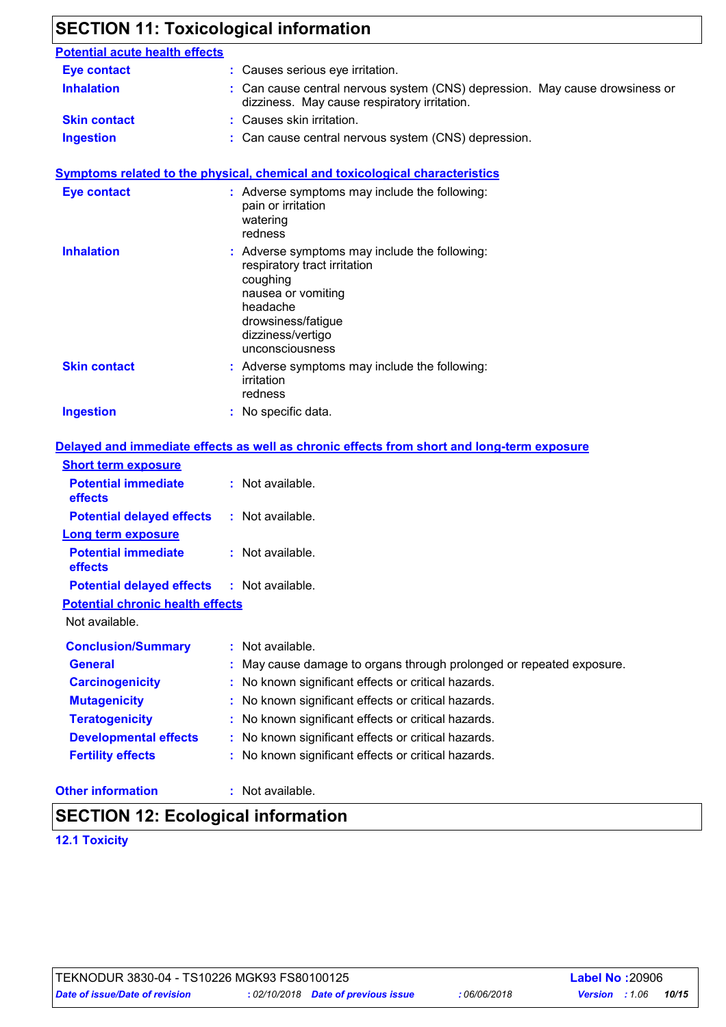## **SECTION 11: Toxicological information**

| <b>Potential acute health effects</b>                              |                                                                                                                                                                                           |
|--------------------------------------------------------------------|-------------------------------------------------------------------------------------------------------------------------------------------------------------------------------------------|
| <b>Eye contact</b>                                                 | : Causes serious eye irritation.                                                                                                                                                          |
| <b>Inhalation</b>                                                  | : Can cause central nervous system (CNS) depression. May cause drowsiness or<br>dizziness. May cause respiratory irritation.                                                              |
| <b>Skin contact</b>                                                | : Causes skin irritation.                                                                                                                                                                 |
| <b>Ingestion</b>                                                   | : Can cause central nervous system (CNS) depression.                                                                                                                                      |
|                                                                    | <b>Symptoms related to the physical, chemical and toxicological characteristics</b>                                                                                                       |
| <b>Eye contact</b>                                                 | : Adverse symptoms may include the following:<br>pain or irritation<br>watering<br>redness                                                                                                |
| <b>Inhalation</b>                                                  | : Adverse symptoms may include the following:<br>respiratory tract irritation<br>coughing<br>nausea or vomiting<br>headache<br>drowsiness/fatigue<br>dizziness/vertigo<br>unconsciousness |
| <b>Skin contact</b>                                                | : Adverse symptoms may include the following:<br>irritation<br>redness                                                                                                                    |
| <b>Ingestion</b>                                                   | : No specific data.                                                                                                                                                                       |
|                                                                    | Delayed and immediate effects as well as chronic effects from short and long-term exposure                                                                                                |
| <b>Short term exposure</b>                                         |                                                                                                                                                                                           |
| <b>Potential immediate</b><br>effects                              | : Not available.                                                                                                                                                                          |
| <b>Potential delayed effects</b>                                   | : Not available.                                                                                                                                                                          |
| <b>Long term exposure</b><br><b>Potential immediate</b><br>effects | : Not available.                                                                                                                                                                          |
| <b>Potential delayed effects</b>                                   | : Not available.                                                                                                                                                                          |
| <b>Potential chronic health effects</b><br>Not available.          |                                                                                                                                                                                           |
| <b>Conclusion/Summary</b>                                          | Not available.                                                                                                                                                                            |
| <b>General</b>                                                     | May cause damage to organs through prolonged or repeated exposure.                                                                                                                        |
| <b>Carcinogenicity</b>                                             | No known significant effects or critical hazards.                                                                                                                                         |
| <b>Mutagenicity</b>                                                | No known significant effects or critical hazards.                                                                                                                                         |
| <b>Teratogenicity</b>                                              | No known significant effects or critical hazards.                                                                                                                                         |
| <b>Developmental effects</b>                                       | No known significant effects or critical hazards.                                                                                                                                         |
| <b>Fertility effects</b>                                           | No known significant effects or critical hazards.                                                                                                                                         |

### **Other information :**

: Not available.

## **SECTION 12: Ecological information**

## **12.1 Toxicity**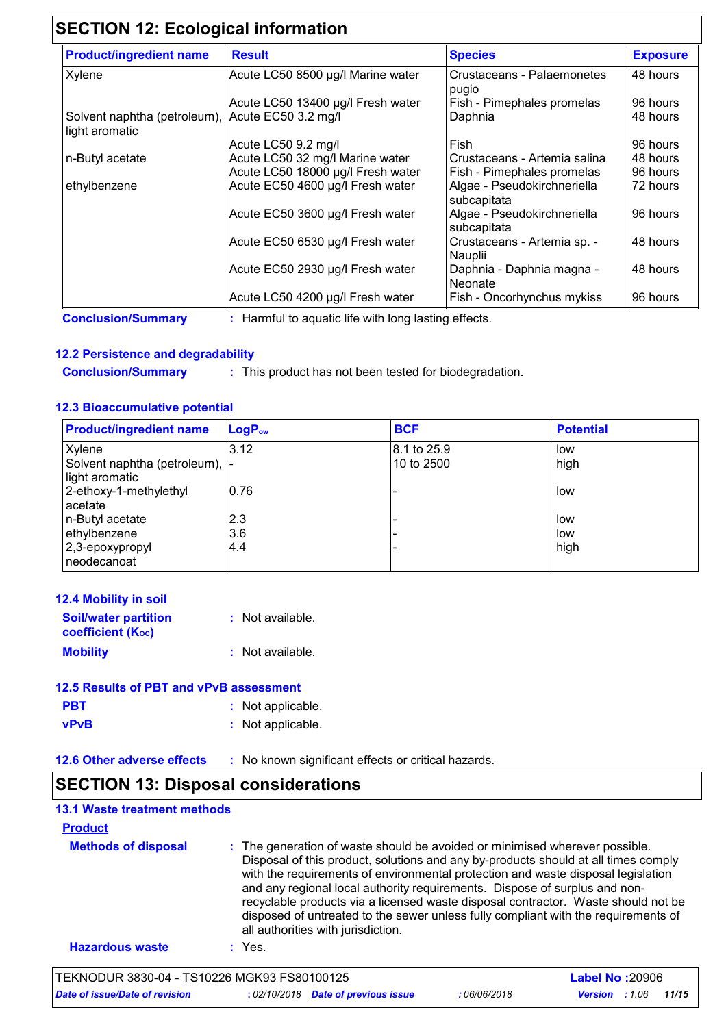## **SECTION 12: Ecological information**

| <b>Product/ingredient name</b>                 | <b>Result</b>                     | <b>Species</b>                              | <b>Exposure</b> |
|------------------------------------------------|-----------------------------------|---------------------------------------------|-----------------|
| Xylene                                         | Acute LC50 8500 µg/l Marine water | Crustaceans - Palaemonetes<br>pugio         | 48 hours        |
|                                                | Acute LC50 13400 µg/l Fresh water | Fish - Pimephales promelas                  | 96 hours        |
| Solvent naphtha (petroleum),<br>light aromatic | Acute EC50 3.2 mg/l               | Daphnia                                     | 48 hours        |
|                                                | Acute LC50 9.2 mg/l               | Fish                                        | 96 hours        |
| n-Butyl acetate                                | Acute LC50 32 mg/l Marine water   | Crustaceans - Artemia salina                | 48 hours        |
|                                                | Acute LC50 18000 µg/l Fresh water | Fish - Pimephales promelas                  | 96 hours        |
| ethylbenzene                                   | Acute EC50 4600 µg/l Fresh water  | Algae - Pseudokirchneriella<br>subcapitata  | 72 hours        |
|                                                | Acute EC50 3600 µg/l Fresh water  | Algae - Pseudokirchneriella<br>subcapitata  | 96 hours        |
|                                                | Acute EC50 6530 µg/l Fresh water  | Crustaceans - Artemia sp. -<br>Nauplii      | 48 hours        |
|                                                | Acute EC50 2930 µg/l Fresh water  | Daphnia - Daphnia magna -<br><b>Neonate</b> | 48 hours        |
|                                                | Acute LC50 4200 µg/l Fresh water  | Fish - Oncorhynchus mykiss                  | 96 hours        |

**Conclusion/Summary :** Harmful to aquatic life with long lasting effects.

## **12.2 Persistence and degradability**

**Conclusion/Summary :** : This product has not been tested for biodegradation.

### **12.3 Bioaccumulative potential**

| <b>Product/ingredient name</b>                    | $\mathsf{LogP}_\mathsf{ow}$ | <b>BCF</b>  | <b>Potential</b> |
|---------------------------------------------------|-----------------------------|-------------|------------------|
| Xylene                                            | 3.12                        | 8.1 to 25.9 | low              |
| Solvent naphtha (petroleum),  -<br>light aromatic |                             | 10 to 2500  | high             |
| 2-ethoxy-1-methylethyl<br>acetate                 | 0.76                        |             | low              |
| n-Butyl acetate                                   | 2.3                         |             | low              |
| ethylbenzene                                      | 3.6                         |             | low              |
| 2,3-epoxypropyl<br>neodecanoat                    | 4.4                         |             | high             |

| <b>12.4 Mobility in soil</b><br><b>Soil/water partition</b><br><b>coefficient (Koc)</b> | : Not available. |
|-----------------------------------------------------------------------------------------|------------------|
| <b>Mobility</b>                                                                         | : Not available. |
|                                                                                         |                  |

|             | 12.5 Results of PBT and vPvB assessment |
|-------------|-----------------------------------------|
| <b>PBT</b>  | : Not applicable.                       |
| <b>vPvB</b> | : Not applicable.                       |

**12.6 Other adverse effects** : No known significant effects or critical hazards.

## **SECTION 13: Disposal considerations**

| <b>13.1 Waste treatment methods</b> |                                                                                                                                                                                                                                                                                                                                                                                                                                                                                                                                                      |
|-------------------------------------|------------------------------------------------------------------------------------------------------------------------------------------------------------------------------------------------------------------------------------------------------------------------------------------------------------------------------------------------------------------------------------------------------------------------------------------------------------------------------------------------------------------------------------------------------|
| <b>Product</b>                      |                                                                                                                                                                                                                                                                                                                                                                                                                                                                                                                                                      |
| <b>Methods of disposal</b>          | : The generation of waste should be avoided or minimised wherever possible.<br>Disposal of this product, solutions and any by-products should at all times comply<br>with the requirements of environmental protection and waste disposal legislation<br>and any regional local authority requirements. Dispose of surplus and non-<br>recyclable products via a licensed waste disposal contractor. Waste should not be<br>disposed of untreated to the sewer unless fully compliant with the requirements of<br>all authorities with jurisdiction. |
| <b>Hazardous waste</b>              | $:$ Yes.                                                                                                                                                                                                                                                                                                                                                                                                                                                                                                                                             |

| TEKNODUR 3830-04 - TS10226 MGK93 FS80100125 |                                            |              | <b>Label No: 20906</b>        |  |
|---------------------------------------------|--------------------------------------------|--------------|-------------------------------|--|
| Date of issue/Date of revision              | : 02/10/2018 <b>Date of previous issue</b> | : 06/06/2018 | 11/15<br><b>Version</b> :1.06 |  |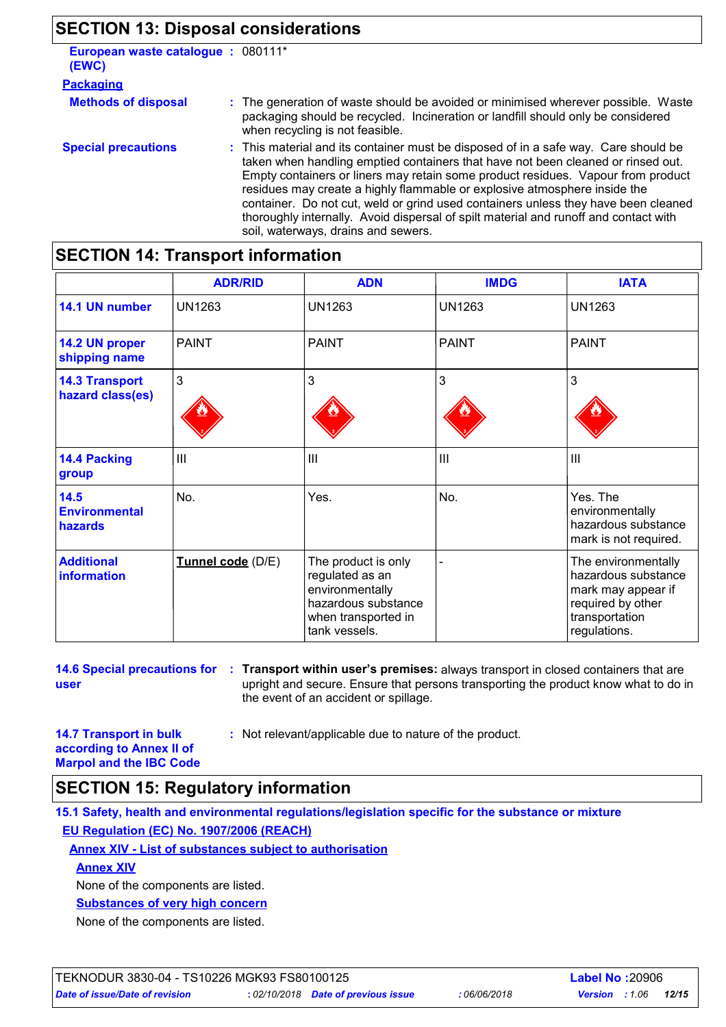## **SECTION 13: Disposal considerations**

| European waste catalogue: 080111*<br>(EWC) |                                                                                                                                                                                                                                                                                                                                                                                                                                                                                                                                                               |
|--------------------------------------------|---------------------------------------------------------------------------------------------------------------------------------------------------------------------------------------------------------------------------------------------------------------------------------------------------------------------------------------------------------------------------------------------------------------------------------------------------------------------------------------------------------------------------------------------------------------|
| <b>Packaging</b>                           |                                                                                                                                                                                                                                                                                                                                                                                                                                                                                                                                                               |
| <b>Methods of disposal</b>                 | : The generation of waste should be avoided or minimised wherever possible. Waste<br>packaging should be recycled. Incineration or landfill should only be considered<br>when recycling is not feasible.                                                                                                                                                                                                                                                                                                                                                      |
| <b>Special precautions</b>                 | : This material and its container must be disposed of in a safe way. Care should be<br>taken when handling emptied containers that have not been cleaned or rinsed out.<br>Empty containers or liners may retain some product residues. Vapour from product<br>residues may create a highly flammable or explosive atmosphere inside the<br>container. Do not cut, weld or grind used containers unless they have been cleaned<br>thoroughly internally. Avoid dispersal of spilt material and runoff and contact with<br>soil, waterways, drains and sewers. |

## **SECTION 14: Transport information**

|                                           | <b>ADR/RID</b>    | <b>ADN</b>                                                                                                               | <b>IMDG</b>   | <b>IATA</b>                                                                                                             |
|-------------------------------------------|-------------------|--------------------------------------------------------------------------------------------------------------------------|---------------|-------------------------------------------------------------------------------------------------------------------------|
| 14.1 UN number                            | <b>UN1263</b>     | <b>UN1263</b>                                                                                                            | <b>UN1263</b> | <b>UN1263</b>                                                                                                           |
| 14.2 UN proper<br>shipping name           | <b>PAINT</b>      | <b>PAINT</b>                                                                                                             | <b>PAINT</b>  | <b>PAINT</b>                                                                                                            |
| <b>14.3 Transport</b><br>hazard class(es) | 3                 | 3                                                                                                                        | 3             | 3                                                                                                                       |
| 14.4 Packing<br>group                     | III               | III                                                                                                                      | III           | III                                                                                                                     |
| 14.5<br><b>Environmental</b><br>hazards   | No.               | Yes.                                                                                                                     | No.           | Yes. The<br>environmentally<br>hazardous substance<br>mark is not required.                                             |
| <b>Additional</b><br>information          | Tunnel code (D/E) | The product is only<br>regulated as an<br>environmentally<br>hazardous substance<br>when transported in<br>tank vessels. |               | The environmentally<br>hazardous substance<br>mark may appear if<br>required by other<br>transportation<br>regulations. |

**user**

**14.6 Special precautions for : Transport within user's premises: always transport in closed containers that are** upright and secure. Ensure that persons transporting the product know what to do in the event of an accident or spillage.

**:** Not relevant/applicable due to nature of the product.

**14.7 Transport in bulk according to Annex II of Marpol and the IBC Code**

## **SECTION 15: Regulatory information**

**15.1 Safety, health and environmental regulations/legislation specific for the substance or mixture EU Regulation (EC) No. 1907/2006 (REACH)**

**Annex XIV - List of substances subject to authorisation**

### **Annex XIV**

None of the components are listed.

**Substances of very high concern**

None of the components are listed.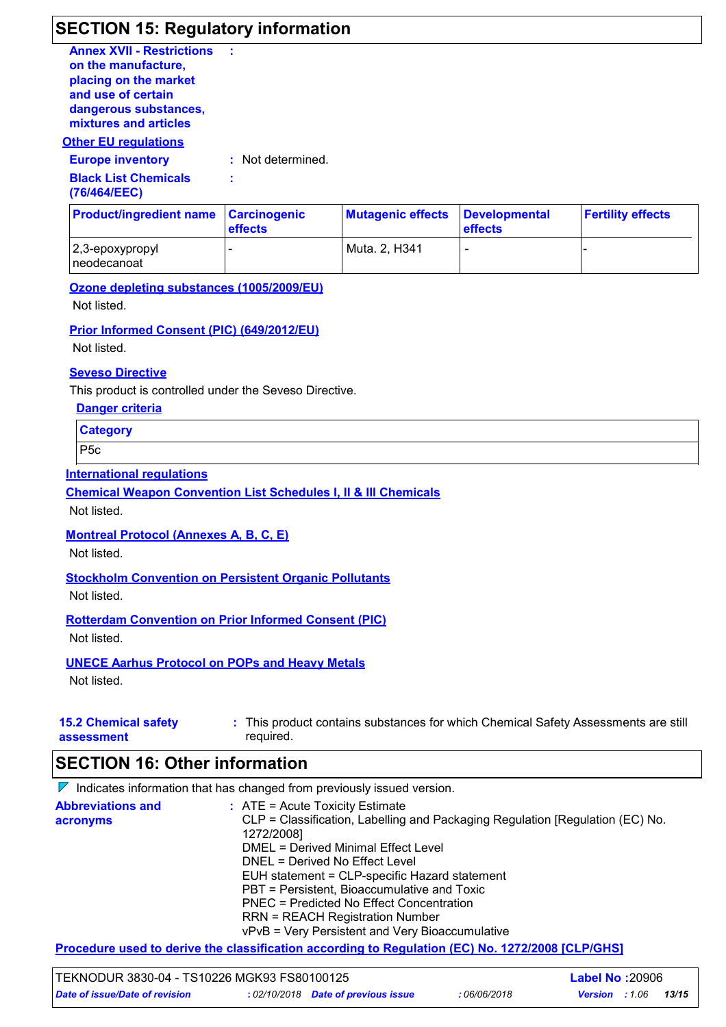## **SECTION 15: Regulatory information**

**Annex XVII - Restrictions : on the manufacture, placing on the market and use of certain dangerous substances, mixtures and articles**

#### **Other EU regulations**

**Europe inventory :** Not determined. **Black List Chemicals :**

**(76/464/EEC)**

| <b>Product/ingredient name Carcinogenic</b> | <b>effects</b> | <b>Mutagenic effects</b> | Developmental<br><b>effects</b> | <b>Fertility effects</b> |
|---------------------------------------------|----------------|--------------------------|---------------------------------|--------------------------|
| $2,3$ -epoxypropyl<br>Ineodecanoat          |                | Muta. 2, H341            | $\overline{\phantom{a}}$        |                          |

**Ozone depleting substances (1005/2009/EU)**

Not listed.

**Prior Informed Consent (PIC) (649/2012/EU)**

Not listed.

### **Seveso Directive**

This product is controlled under the Seveso Directive.

|  | <b>Danger criteria</b> |
|--|------------------------|
|  |                        |

| <b>Category</b> |  |
|-----------------|--|
| P5c             |  |

## **International regulations**

**Chemical Weapon Convention List Schedules I, II & III Chemicals**

Not listed.

### **Montreal Protocol (Annexes A, B, C, E)**

Not listed.

### **Stockholm Convention on Persistent Organic Pollutants**

Not listed.

### **Rotterdam Convention on Prior Informed Consent (PIC)**

Not listed.

## **UNECE Aarhus Protocol on POPs and Heavy Metals**

Not listed.

#### **15.2 Chemical safety assessment** This product contains substances for which Chemical Safety Assessments are still **:** required.

## **SECTION 16: Other information**

|                                      | $\nabla$ Indicates information that has changed from previously issued version.                                                           |
|--------------------------------------|-------------------------------------------------------------------------------------------------------------------------------------------|
| <b>Abbreviations and</b><br>acronyms | $\therefore$ ATE = Acute Toxicity Estimate<br>CLP = Classification, Labelling and Packaging Regulation [Regulation (EC) No.<br>1272/2008] |
|                                      | DMEL = Derived Minimal Effect Level<br>DNEL = Derived No Effect Level                                                                     |
|                                      | EUH statement = CLP-specific Hazard statement<br>PBT = Persistent, Bioaccumulative and Toxic                                              |
|                                      | PNEC = Predicted No Effect Concentration<br>RRN = REACH Registration Number                                                               |
|                                      | vPvB = Very Persistent and Very Bioaccumulative                                                                                           |
|                                      | <b>Procodure used to derive the classification according to Poquiation (EC) No. 1272/2008 [CLPICHS]</b>                                   |

<u>rocedure used to derive the classification according to Regulation (EC) No.</u>

| TEKNODUR 3830-04 - TS10226 MGK93 FS80100125 |  |                                     |            | <b>Label No: 20906</b> |  |       |  |
|---------------------------------------------|--|-------------------------------------|------------|------------------------|--|-------|--|
| Date of issue/Date of revision              |  | : 02/10/2018 Date of previous issue | 06/06/2018 | <b>Version</b> : 1.06  |  | 13/15 |  |